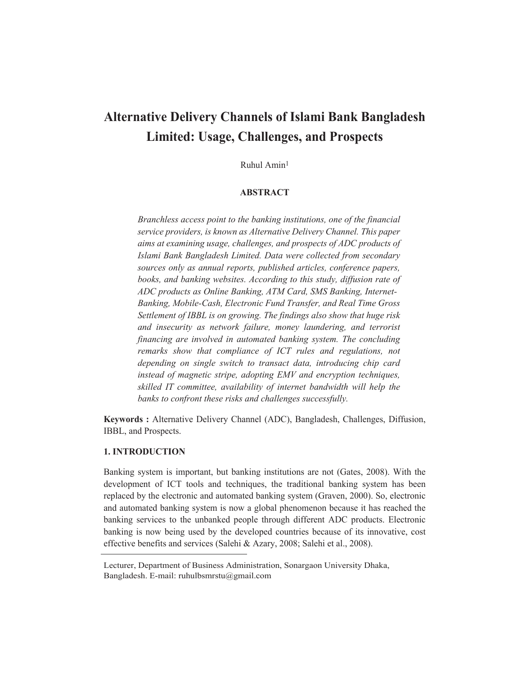# **Alternative Delivery Channels of Islami Bank Bangladesh Limited: Usage, Challenges, and Prospects**

Ruhul Amin1

# **ABSTRACT**

*Branchless access point to the banking institutions, one of the financial service providers, is known as Alternative Delivery Channel. This paper aims at examining usage, challenges, and prospects of ADC products of Islami Bank Bangladesh Limited. Data were collected from secondary sources only as annual reports, published articles, conference papers, books, and banking websites. According to this study, diffusion rate of ADC products as Online Banking, ATM Card, SMS Banking, Internet-Banking, Mobile-Cash, Electronic Fund Transfer, and Real Time Gross Settlement of IBBL is on growing. The findings also show that huge risk and insecurity as network failure, money laundering, and terrorist financing are involved in automated banking system. The concluding remarks show that compliance of ICT rules and regulations, not depending on single switch to transact data, introducing chip card instead of magnetic stripe, adopting EMV and encryption techniques, skilled IT committee, availability of internet bandwidth will help the banks to confront these risks and challenges successfully.*

**Keywords :** Alternative Delivery Channel (ADC), Bangladesh, Challenges, Diffusion, IBBL, and Prospects.

# **1. INTRODUCTION**

Banking system is important, but banking institutions are not (Gates, 2008). With the development of ICT tools and techniques, the traditional banking system has been replaced by the electronic and automated banking system (Graven, 2000). So, electronic and automated banking system is now a global phenomenon because it has reached the banking services to the unbanked people through different ADC products. Electronic banking is now being used by the developed countries because of its innovative, cost effective benefits and services (Salehi & Azary, 2008; Salehi et al., 2008).

Lecturer, Department of Business Administration, Sonargaon University Dhaka, Bangladesh. E-mail: ruhulbsmrstu@gmail.com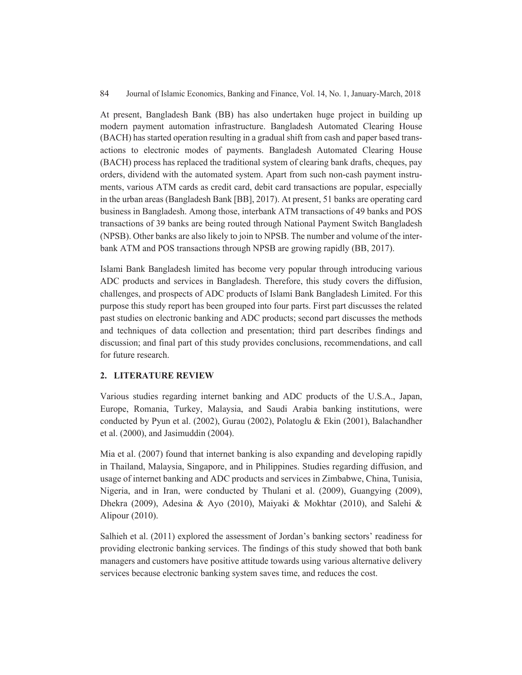At present, Bangladesh Bank (BB) has also undertaken huge project in building up modern payment automation infrastructure. Bangladesh Automated Clearing House (BACH) has started operation resulting in a gradual shift from cash and paper based transactions to electronic modes of payments. Bangladesh Automated Clearing House (BACH) process has replaced the traditional system of clearing bank drafts, cheques, pay orders, dividend with the automated system. Apart from such non-cash payment instruments, various ATM cards as credit card, debit card transactions are popular, especially in the urban areas (Bangladesh Bank [BB], 2017). At present, 51 banks are operating card business in Bangladesh. Among those, interbank ATM transactions of 49 banks and POS transactions of 39 banks are being routed through National Payment Switch Bangladesh (NPSB). Other banks are also likely to join to NPSB. The number and volume of the interbank ATM and POS transactions through NPSB are growing rapidly (BB, 2017).

Islami Bank Bangladesh limited has become very popular through introducing various ADC products and services in Bangladesh. Therefore, this study covers the diffusion, challenges, and prospects of ADC products of Islami Bank Bangladesh Limited. For this purpose this study report has been grouped into four parts. First part discusses the related past studies on electronic banking and ADC products; second part discusses the methods and techniques of data collection and presentation; third part describes findings and discussion; and final part of this study provides conclusions, recommendations, and call for future research.

#### **2. LITERATURE REVIEW**

Various studies regarding internet banking and ADC products of the U.S.A., Japan, Europe, Romania, Turkey, Malaysia, and Saudi Arabia banking institutions, were conducted by Pyun et al. (2002), Gurau (2002), Polatoglu & Ekin (2001), Balachandher et al. (2000), and Jasimuddin (2004).

Mia et al. (2007) found that internet banking is also expanding and developing rapidly in Thailand, Malaysia, Singapore, and in Philippines. Studies regarding diffusion, and usage of internet banking and ADC products and services in Zimbabwe, China, Tunisia, Nigeria, and in Iran, were conducted by Thulani et al. (2009), Guangying (2009), Dhekra (2009), Adesina & Ayo (2010), Maiyaki & Mokhtar (2010), and Salehi & Alipour (2010).

Salhieh et al. (2011) explored the assessment of Jordan's banking sectors' readiness for providing electronic banking services. The findings of this study showed that both bank managers and customers have positive attitude towards using various alternative delivery services because electronic banking system saves time, and reduces the cost.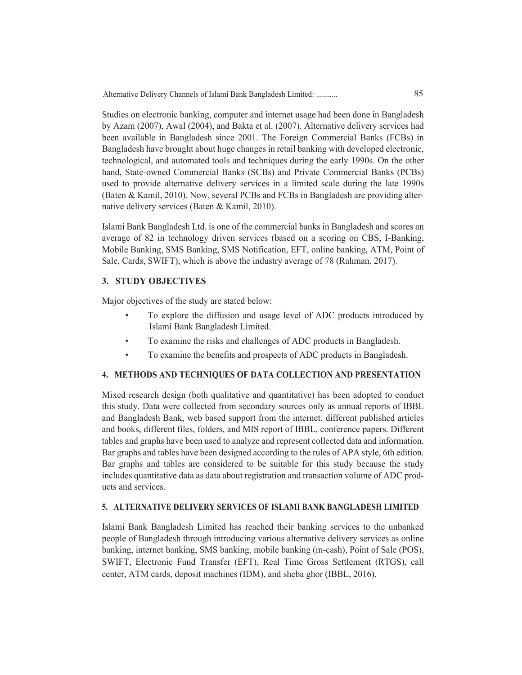Studies on electronic banking, computer and internet usage had been done in Bangladesh by Azam (2007), Awal (2004), and Bakta et al. (2007). Alternative delivery services had been available in Bangladesh since 2001. The Foreign Commercial Banks (FCBs) in Bangladesh have brought about huge changes in retail banking with developed electronic, technological, and automated tools and techniques during the early 1990s. On the other hand, State-owned Commercial Banks (SCBs) and Private Commercial Banks (PCBs) used to provide alternative delivery services in a limited scale during the late 1990s (Baten & Kamil, 2010). Now, several PCBs and FCBs in Bangladesh are providing alternative delivery services (Baten & Kamil, 2010).

Islami Bank Bangladesh Ltd. is one of the commercial banks in Bangladesh and scores an average of 82 in technology driven services (based on a scoring on CBS, I-Banking, Mobile Banking, SMS Banking, SMS Notification, EFT, online banking, ATM, Point of Sale, Cards, SWIFT), which is above the industry average of 78 (Rahman, 2017).

#### **3. STUDY OBJECTIVES**

Major objectives of the study are stated below:

- To explore the diffusion and usage level of ADC products introduced by Islami Bank Bangladesh Limited.
- To examine the risks and challenges of ADC products in Bangladesh.
- To examine the benefits and prospects of ADC products in Bangladesh.

#### **4. METHODS AND TECHNIQUES OF DATA COLLECTION AND PRESENTATION**

Mixed research design (both qualitative and quantitative) has been adopted to conduct this study. Data were collected from secondary sources only as annual reports of IBBL and Bangladesh Bank, web based support from the internet, different published articles and books, different files, folders, and MIS report of IBBL, conference papers. Different tables and graphs have been used to analyze and represent collected data and information. Bar graphs and tables have been designed according to the rules of APA style, 6th edition. Bar graphs and tables are considered to be suitable for this study because the study includes quantitative data as data about registration and transaction volume of ADC products and services.

#### **5. ALTERNATIVE DELIVERY SERVICES OF ISLAMI BANK BANGLADESH LIMITED**

Islami Bank Bangladesh Limited has reached their banking services to the unbanked people of Bangladesh through introducing various alternative delivery services as online banking, internet banking, SMS banking, mobile banking (m-cash), Point of Sale (POS), SWIFT, Electronic Fund Transfer (EFT), Real Time Gross Settlement (RTGS), call center, ATM cards, deposit machines (IDM), and sheba ghor (IBBL, 2016).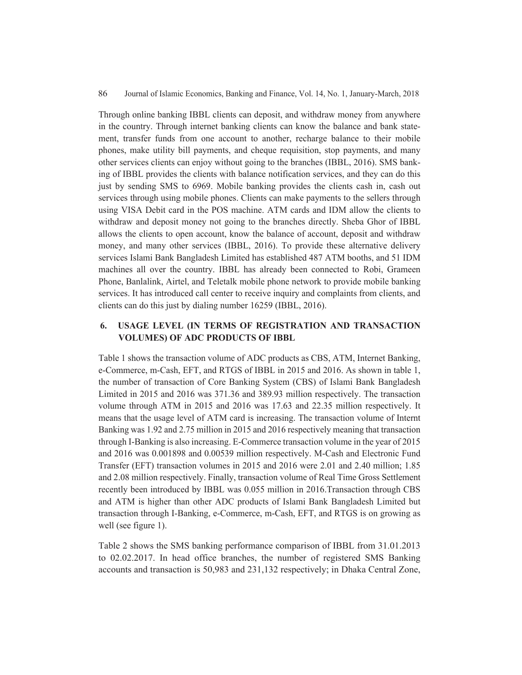Through online banking IBBL clients can deposit, and withdraw money from anywhere in the country. Through internet banking clients can know the balance and bank statement, transfer funds from one account to another, recharge balance to their mobile phones, make utility bill payments, and cheque requisition, stop payments, and many other services clients can enjoy without going to the branches (IBBL, 2016). SMS banking of IBBL provides the clients with balance notification services, and they can do this just by sending SMS to 6969. Mobile banking provides the clients cash in, cash out services through using mobile phones. Clients can make payments to the sellers through using VISA Debit card in the POS machine. ATM cards and IDM allow the clients to withdraw and deposit money not going to the branches directly. Sheba Ghor of IBBL allows the clients to open account, know the balance of account, deposit and withdraw money, and many other services (IBBL, 2016). To provide these alternative delivery services Islami Bank Bangladesh Limited has established 487 ATM booths, and 51 IDM machines all over the country. IBBL has already been connected to Robi, Grameen Phone, Banlalink, Airtel, and Teletalk mobile phone network to provide mobile banking services. It has introduced call center to receive inquiry and complaints from clients, and clients can do this just by dialing number 16259 (IBBL, 2016).

# **6. USAGE LEVEL (IN TERMS OF REGISTRATION AND TRANSACTION VOLUMES) OF ADC PRODUCTS OF IBBL**

Table 1 shows the transaction volume of ADC products as CBS, ATM, Internet Banking, e-Commerce, m-Cash, EFT, and RTGS of IBBL in 2015 and 2016. As shown in table 1, the number of transaction of Core Banking System (CBS) of Islami Bank Bangladesh Limited in 2015 and 2016 was 371.36 and 389.93 million respectively. The transaction volume through ATM in 2015 and 2016 was 17.63 and 22.35 million respectively. It means that the usage level of ATM card is increasing. The transaction volume of Internt Banking was 1.92 and 2.75 million in 2015 and 2016 respectively meaning that transaction through I-Banking is also increasing. E-Commerce transaction volume in the year of 2015 and 2016 was 0.001898 and 0.00539 million respectively. M-Cash and Electronic Fund Transfer (EFT) transaction volumes in 2015 and 2016 were 2.01 and 2.40 million; 1.85 and 2.08 million respectively. Finally, transaction volume of Real Time Gross Settlement recently been introduced by IBBL was 0.055 million in 2016.Transaction through CBS and ATM is higher than other ADC products of Islami Bank Bangladesh Limited but transaction through I-Banking, e-Commerce, m-Cash, EFT, and RTGS is on growing as well (see figure 1).

Table 2 shows the SMS banking performance comparison of IBBL from 31.01.2013 to 02.02.2017. In head office branches, the number of registered SMS Banking accounts and transaction is 50,983 and 231,132 respectively; in Dhaka Central Zone,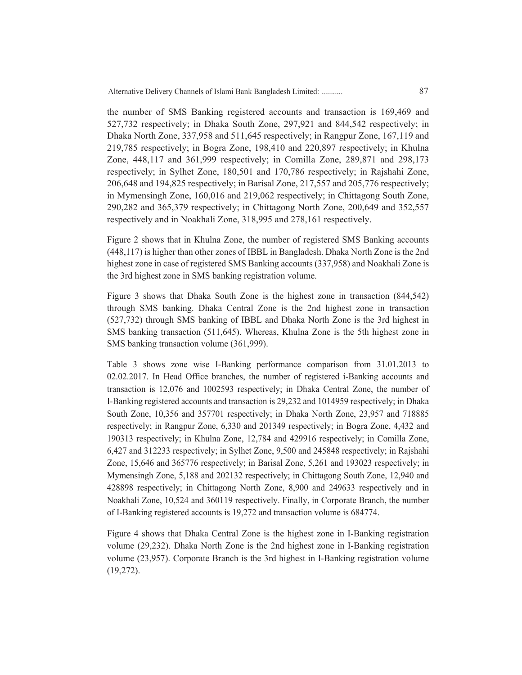Alternative Delivery Channels of Islami Bank Bangladesh Limited: ........... 87

the number of SMS Banking registered accounts and transaction is 169,469 and 527,732 respectively; in Dhaka South Zone, 297,921 and 844,542 respectively; in Dhaka North Zone, 337,958 and 511,645 respectively; in Rangpur Zone, 167,119 and 219,785 respectively; in Bogra Zone, 198,410 and 220,897 respectively; in Khulna Zone, 448,117 and 361,999 respectively; in Comilla Zone, 289,871 and 298,173 respectively; in Sylhet Zone, 180,501 and 170,786 respectively; in Rajshahi Zone, 206,648 and 194,825 respectively; in Barisal Zone, 217,557 and 205,776 respectively; in Mymensingh Zone, 160,016 and 219,062 respectively; in Chittagong South Zone, 290,282 and 365,379 respectively; in Chittagong North Zone, 200,649 and 352,557 respectively and in Noakhali Zone, 318,995 and 278,161 respectively.

Figure 2 shows that in Khulna Zone, the number of registered SMS Banking accounts (448,117) is higher than other zones of IBBL in Bangladesh. Dhaka North Zone is the 2nd highest zone in case of registered SMS Banking accounts (337,958) and Noakhali Zone is the 3rd highest zone in SMS banking registration volume.

Figure 3 shows that Dhaka South Zone is the highest zone in transaction (844,542) through SMS banking. Dhaka Central Zone is the 2nd highest zone in transaction (527,732) through SMS banking of IBBL and Dhaka North Zone is the 3rd highest in SMS banking transaction (511,645). Whereas, Khulna Zone is the 5th highest zone in SMS banking transaction volume (361,999).

Table 3 shows zone wise I-Banking performance comparison from 31.01.2013 to 02.02.2017. In Head Office branches, the number of registered i-Banking accounts and transaction is 12,076 and 1002593 respectively; in Dhaka Central Zone, the number of I-Banking registered accounts and transaction is 29,232 and 1014959 respectively; in Dhaka South Zone, 10,356 and 357701 respectively; in Dhaka North Zone, 23,957 and 718885 respectively; in Rangpur Zone, 6,330 and 201349 respectively; in Bogra Zone, 4,432 and 190313 respectively; in Khulna Zone, 12,784 and 429916 respectively; in Comilla Zone, 6,427 and 312233 respectively; in Sylhet Zone, 9,500 and 245848 respectively; in Rajshahi Zone, 15,646 and 365776 respectively; in Barisal Zone, 5,261 and 193023 respectively; in Mymensingh Zone, 5,188 and 202132 respectively; in Chittagong South Zone, 12,940 and 428898 respectively; in Chittagong North Zone, 8,900 and 249633 respectively and in Noakhali Zone, 10,524 and 360119 respectively. Finally, in Corporate Branch, the number of I-Banking registered accounts is 19,272 and transaction volume is 684774.

Figure 4 shows that Dhaka Central Zone is the highest zone in I-Banking registration volume (29,232). Dhaka North Zone is the 2nd highest zone in I-Banking registration volume (23,957). Corporate Branch is the 3rd highest in I-Banking registration volume (19,272).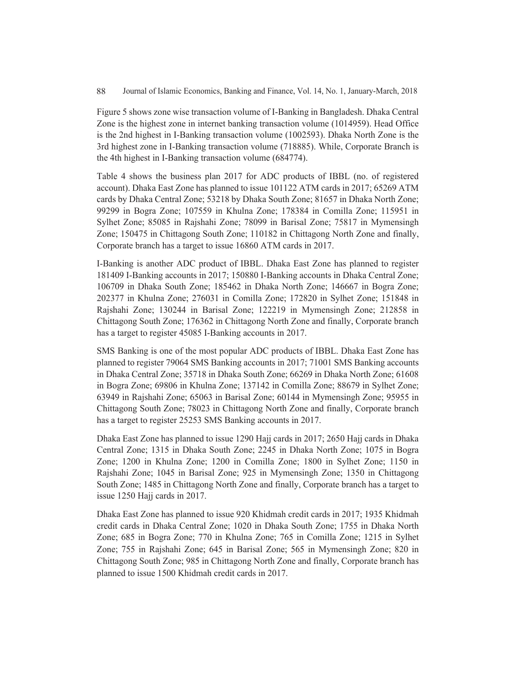Figure 5 shows zone wise transaction volume of I-Banking in Bangladesh. Dhaka Central Zone is the highest zone in internet banking transaction volume (1014959). Head Office is the 2nd highest in I-Banking transaction volume (1002593). Dhaka North Zone is the 3rd highest zone in I-Banking transaction volume (718885). While, Corporate Branch is the 4th highest in I-Banking transaction volume (684774).

Table 4 shows the business plan 2017 for ADC products of IBBL (no. of registered account). Dhaka East Zone has planned to issue 101122 ATM cards in 2017; 65269 ATM cards by Dhaka Central Zone; 53218 by Dhaka South Zone; 81657 in Dhaka North Zone; 99299 in Bogra Zone; 107559 in Khulna Zone; 178384 in Comilla Zone; 115951 in Sylhet Zone; 85085 in Rajshahi Zone; 78099 in Barisal Zone; 75817 in Mymensingh Zone; 150475 in Chittagong South Zone; 110182 in Chittagong North Zone and finally, Corporate branch has a target to issue 16860 ATM cards in 2017.

I-Banking is another ADC product of IBBL. Dhaka East Zone has planned to register 181409 I-Banking accounts in 2017; 150880 I-Banking accounts in Dhaka Central Zone; 106709 in Dhaka South Zone; 185462 in Dhaka North Zone; 146667 in Bogra Zone; 202377 in Khulna Zone; 276031 in Comilla Zone; 172820 in Sylhet Zone; 151848 in Rajshahi Zone; 130244 in Barisal Zone; 122219 in Mymensingh Zone; 212858 in Chittagong South Zone; 176362 in Chittagong North Zone and finally, Corporate branch has a target to register 45085 I-Banking accounts in 2017.

SMS Banking is one of the most popular ADC products of IBBL. Dhaka East Zone has planned to register 79064 SMS Banking accounts in 2017; 71001 SMS Banking accounts in Dhaka Central Zone; 35718 in Dhaka South Zone; 66269 in Dhaka North Zone; 61608 in Bogra Zone; 69806 in Khulna Zone; 137142 in Comilla Zone; 88679 in Sylhet Zone; 63949 in Rajshahi Zone; 65063 in Barisal Zone; 60144 in Mymensingh Zone; 95955 in Chittagong South Zone; 78023 in Chittagong North Zone and finally, Corporate branch has a target to register 25253 SMS Banking accounts in 2017.

Dhaka East Zone has planned to issue 1290 Hajj cards in 2017; 2650 Hajj cards in Dhaka Central Zone; 1315 in Dhaka South Zone; 2245 in Dhaka North Zone; 1075 in Bogra Zone; 1200 in Khulna Zone; 1200 in Comilla Zone; 1800 in Sylhet Zone; 1150 in Rajshahi Zone; 1045 in Barisal Zone; 925 in Mymensingh Zone; 1350 in Chittagong South Zone; 1485 in Chittagong North Zone and finally, Corporate branch has a target to issue 1250 Hajj cards in 2017.

Dhaka East Zone has planned to issue 920 Khidmah credit cards in 2017; 1935 Khidmah credit cards in Dhaka Central Zone; 1020 in Dhaka South Zone; 1755 in Dhaka North Zone; 685 in Bogra Zone; 770 in Khulna Zone; 765 in Comilla Zone; 1215 in Sylhet Zone; 755 in Rajshahi Zone; 645 in Barisal Zone; 565 in Mymensingh Zone; 820 in Chittagong South Zone; 985 in Chittagong North Zone and finally, Corporate branch has planned to issue 1500 Khidmah credit cards in 2017.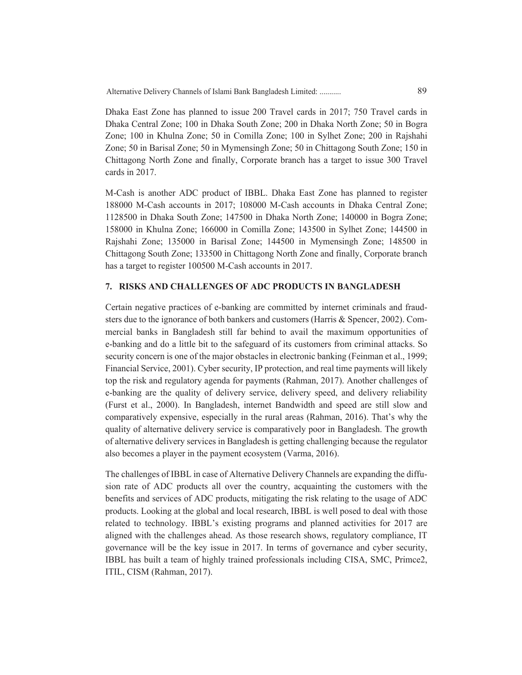Dhaka East Zone has planned to issue 200 Travel cards in 2017; 750 Travel cards in Dhaka Central Zone; 100 in Dhaka South Zone; 200 in Dhaka North Zone; 50 in Bogra Zone; 100 in Khulna Zone; 50 in Comilla Zone; 100 in Sylhet Zone; 200 in Rajshahi Zone; 50 in Barisal Zone; 50 in Mymensingh Zone; 50 in Chittagong South Zone; 150 in Chittagong North Zone and finally, Corporate branch has a target to issue 300 Travel cards in 2017.

M-Cash is another ADC product of IBBL. Dhaka East Zone has planned to register 188000 M-Cash accounts in 2017; 108000 M-Cash accounts in Dhaka Central Zone; 1128500 in Dhaka South Zone; 147500 in Dhaka North Zone; 140000 in Bogra Zone; 158000 in Khulna Zone; 166000 in Comilla Zone; 143500 in Sylhet Zone; 144500 in Rajshahi Zone; 135000 in Barisal Zone; 144500 in Mymensingh Zone; 148500 in Chittagong South Zone; 133500 in Chittagong North Zone and finally, Corporate branch has a target to register 100500 M-Cash accounts in 2017.

# **7. RISKS AND CHALLENGES OF ADC PRODUCTS IN BANGLADESH**

Certain negative practices of e-banking are committed by internet criminals and fraudsters due to the ignorance of both bankers and customers (Harris & Spencer, 2002). Commercial banks in Bangladesh still far behind to avail the maximum opportunities of e-banking and do a little bit to the safeguard of its customers from criminal attacks. So security concern is one of the major obstacles in electronic banking (Feinman et al., 1999; Financial Service, 2001). Cyber security, IP protection, and real time payments will likely top the risk and regulatory agenda for payments (Rahman, 2017). Another challenges of e-banking are the quality of delivery service, delivery speed, and delivery reliability (Furst et al., 2000). In Bangladesh, internet Bandwidth and speed are still slow and comparatively expensive, especially in the rural areas (Rahman, 2016). That's why the quality of alternative delivery service is comparatively poor in Bangladesh. The growth of alternative delivery services in Bangladesh is getting challenging because the regulator also becomes a player in the payment ecosystem (Varma, 2016).

The challenges of IBBL in case of Alternative Delivery Channels are expanding the diffusion rate of ADC products all over the country, acquainting the customers with the benefits and services of ADC products, mitigating the risk relating to the usage of ADC products. Looking at the global and local research, IBBL is well posed to deal with those related to technology. IBBL's existing programs and planned activities for 2017 are aligned with the challenges ahead. As those research shows, regulatory compliance, IT governance will be the key issue in 2017. In terms of governance and cyber security, IBBL has built a team of highly trained professionals including CISA, SMC, Primce2, ITIL, CISM (Rahman, 2017).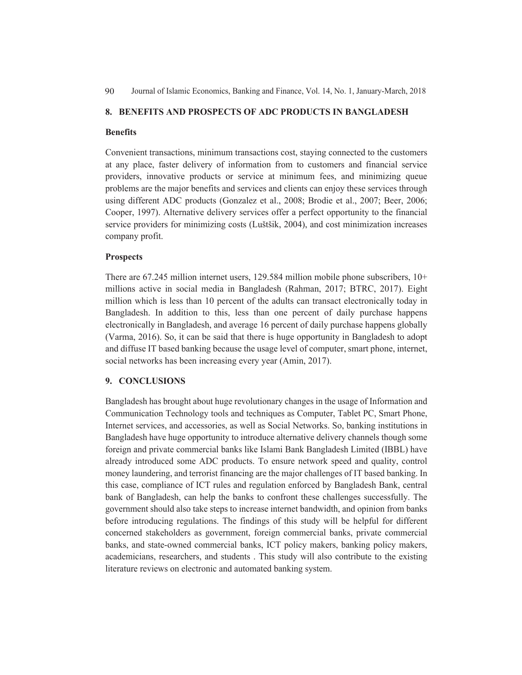# **8. BENEFITS AND PROSPECTS OF ADC PRODUCTS IN BANGLADESH**

#### **Benefits**

Convenient transactions, minimum transactions cost, staying connected to the customers at any place, faster delivery of information from to customers and financial service providers, innovative products or service at minimum fees, and minimizing queue problems are the major benefits and services and clients can enjoy these services through using different ADC products (Gonzalez et al., 2008; Brodie et al., 2007; Beer, 2006; Cooper, 1997). Alternative delivery services offer a perfect opportunity to the financial service providers for minimizing costs (Luštšik, 2004), and cost minimization increases company profit.

#### **Prospects**

There are 67.245 million internet users, 129.584 million mobile phone subscribers, 10+ millions active in social media in Bangladesh (Rahman, 2017; BTRC, 2017). Eight million which is less than 10 percent of the adults can transact electronically today in Bangladesh. In addition to this, less than one percent of daily purchase happens electronically in Bangladesh, and average 16 percent of daily purchase happens globally (Varma, 2016). So, it can be said that there is huge opportunity in Bangladesh to adopt and diffuse IT based banking because the usage level of computer, smart phone, internet, social networks has been increasing every year (Amin, 2017).

#### **9. CONCLUSIONS**

Bangladesh has brought about huge revolutionary changes in the usage of Information and Communication Technology tools and techniques as Computer, Tablet PC, Smart Phone, Internet services, and accessories, as well as Social Networks. So, banking institutions in Bangladesh have huge opportunity to introduce alternative delivery channels though some foreign and private commercial banks like Islami Bank Bangladesh Limited (IBBL) have already introduced some ADC products. To ensure network speed and quality, control money laundering, and terrorist financing are the major challenges of IT based banking. In this case, compliance of ICT rules and regulation enforced by Bangladesh Bank, central bank of Bangladesh, can help the banks to confront these challenges successfully. The government should also take steps to increase internet bandwidth, and opinion from banks before introducing regulations. The findings of this study will be helpful for different concerned stakeholders as government, foreign commercial banks, private commercial banks, and state-owned commercial banks, ICT policy makers, banking policy makers, academicians, researchers, and students . This study will also contribute to the existing literature reviews on electronic and automated banking system.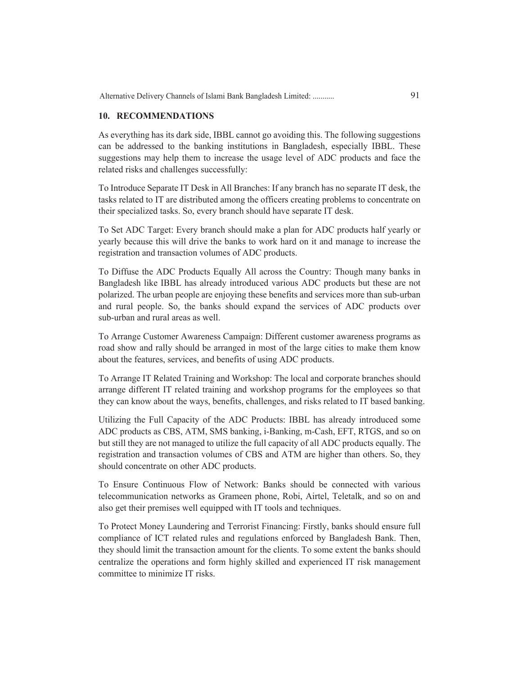#### **10. RECOMMENDATIONS**

As everything has its dark side, IBBL cannot go avoiding this. The following suggestions can be addressed to the banking institutions in Bangladesh, especially IBBL. These suggestions may help them to increase the usage level of ADC products and face the related risks and challenges successfully:

To Introduce Separate IT Desk in All Branches: If any branch has no separate IT desk, the tasks related to IT are distributed among the officers creating problems to concentrate on their specialized tasks. So, every branch should have separate IT desk.

To Set ADC Target: Every branch should make a plan for ADC products half yearly or yearly because this will drive the banks to work hard on it and manage to increase the registration and transaction volumes of ADC products.

To Diffuse the ADC Products Equally All across the Country: Though many banks in Bangladesh like IBBL has already introduced various ADC products but these are not polarized. The urban people are enjoying these benefits and services more than sub-urban and rural people. So, the banks should expand the services of ADC products over sub-urban and rural areas as well.

To Arrange Customer Awareness Campaign: Different customer awareness programs as road show and rally should be arranged in most of the large cities to make them know about the features, services, and benefits of using ADC products.

To Arrange IT Related Training and Workshop: The local and corporate branches should arrange different IT related training and workshop programs for the employees so that they can know about the ways, benefits, challenges, and risks related to IT based banking.

Utilizing the Full Capacity of the ADC Products: IBBL has already introduced some ADC products as CBS, ATM, SMS banking, i-Banking, m-Cash, EFT, RTGS, and so on but still they are not managed to utilize the full capacity of all ADC products equally. The registration and transaction volumes of CBS and ATM are higher than others. So, they should concentrate on other ADC products.

To Ensure Continuous Flow of Network: Banks should be connected with various telecommunication networks as Grameen phone, Robi, Airtel, Teletalk, and so on and also get their premises well equipped with IT tools and techniques.

To Protect Money Laundering and Terrorist Financing: Firstly, banks should ensure full compliance of ICT related rules and regulations enforced by Bangladesh Bank. Then, they should limit the transaction amount for the clients. To some extent the banks should centralize the operations and form highly skilled and experienced IT risk management committee to minimize IT risks.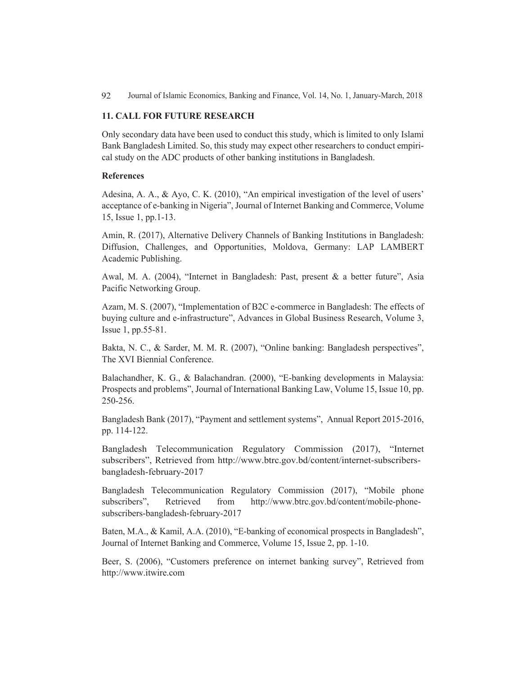#### **11. CALL FOR FUTURE RESEARCH**

Only secondary data have been used to conduct this study, which is limited to only Islami Bank Bangladesh Limited. So, this study may expect other researchers to conduct empiri cal study on the ADC products of other banking institutions in Bangladesh.

#### **References**

Adesina, A. A., & Ayo, C. K. (2010), "An empirical investigation of the level of users' acceptance of e-banking in Nigeria", Journal of Internet Banking and Commerce, Volume 15, Issue 1, pp.1-13.

Amin, R. (2017), Alternative Delivery Channels of Banking Institutions in Bangladesh: Diffusion, Challenges, and Opportunities, Moldova, Germany: LAP LAMBERT Academic Publishing.

Awal, M. A. (2004), "Internet in Bangladesh: Past, present & a better future", Asia Pacific Networking Group.

Azam, M. S. (2007), "Implementation of B2C e-commerce in Bangladesh: The effects of buying culture and e-infrastructure", Advances in Global Business Research, Volume 3, Issue 1, pp.55-81.

Bakta, N. C., & Sarder, M. M. R. (2007), "Online banking: Bangladesh perspectives", The XVI Biennial Conference.

Balachandher, K. G., & Balachandran. (2000), "E-banking developments in Malaysia: Prospects and problems", Journal of International Banking Law, Volume 15, Issue 10, pp. 250-256.

Bangladesh Bank (2017), "Payment and settlement systems", Annual Report 2015-2016, pp. 114-122.

Bangladesh Telecommunication Regulatory Commission (2017), "Internet subscribers", Retrieved from http://www.btrc.gov.bd/content/internet-subscribersbangladesh-february-2017

Bangladesh Telecommunication Regulatory Commission (2017), "Mobile phone subscribers", Retrieved from http://www.btrc.gov.bd/content/mobile-phonehttp://www.btrc.gov.bd/content/mobile-phonesubscribers-bangladesh-february-2017

Baten, M.A., & Kamil, A.A. (2010), "E-banking of economical prospects in Bangladesh", Journal of Internet Banking and Commerce, Volume 15, Issue 2, pp. 1-10.

Beer, S. (2006), "Customers preference on internet banking survey", Retrieved from http://www.itwire.com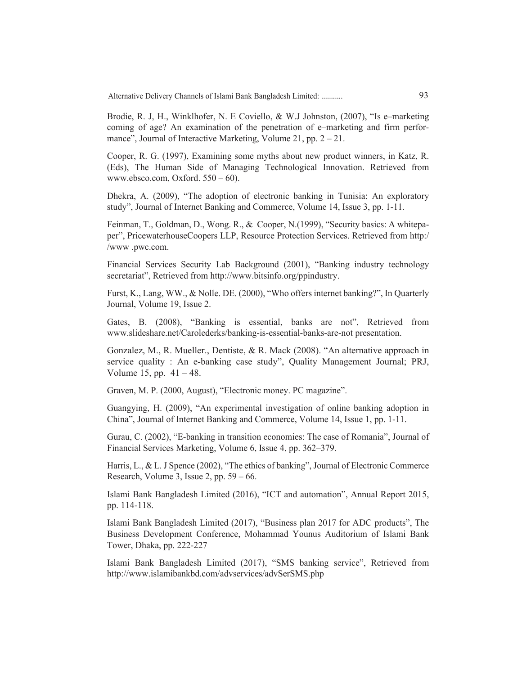Alternative Delivery Channels of Islami Bank Bangladesh Limited: ........... 93

Brodie, R. J, H., Winklhofer, N. E Coviello, & W.J Johnston, (2007), "Is e–marketing coming of age? An examination of the penetration of e–marketing and firm perfor- mance", Journal of Interactive Marketing, Volume 21, pp. 2 – 21.

Cooper, R. G. (1997), Examining some myths about new product winners, in Katz, R. (Eds), The Human Side of Managing Technological Innovation. Retrieved from www.ebsco.com, Oxford. 550 – 60).

Dhekra, A. (2009), "The adoption of electronic banking in Tunisia: An exploratory study", Journal of Internet Banking and Commerce, Volume 14, Issue 3, pp. 1-11.

Feinman, T., Goldman, D., Wong. R., & Cooper, N.(1999), "Security basics: A whitepa-<br>per", PricewaterhouseCoopers LLP, Resource Protection Services. Retrieved from http:/ /www .pwc.com.

Financial Services Security Lab Background (2001), "Banking industry technology secretariat", Retrieved from http://www.bitsinfo.org/ppindustry.

Furst, K., Lang, WW., & Nolle. DE. (2000), "Who offers internet banking?", In Quarterly Journal, Volume 19, Issue 2.

Gates, B. (2008), "Banking is essential, banks are not", Retrieved from www.slideshare.net/Carolederks/banking-is-essential-banks-are-not presentation.

Gonzalez, M., R. Mueller., Dentiste, & R. Mack (2008). "An alternative approach in service quality : An e-banking case study", Quality Management Journal; PRJ, Volume 15, pp.  $41 - 48$ .

Graven, M. P. (2000, August), "Electronic money. PC magazine".

Guangying, H. (2009), "An experimental investigation of online banking adoption in China", Journal of Internet Banking and Commerce, Volume 14, Issue 1, pp. 1-11.

Gurau, C. (2002), "E-banking in transition economies: The case of Romania", Journal of Financial Services Marketing, Volume 6, Issue 4, pp. 362–379.

Harris, L., & L. J Spence (2002), "The ethics of banking", Journal of Electronic Commerce Research, Volume 3, Issue 2, pp.  $59 - 66$ .

Islami Bank Bangladesh Limited (2016), "ICT and automation", Annual Report 2015, pp. 114-118.

Islami Bank Bangladesh Limited (2017), "Business plan 2017 for ADC products", The Business Development Conference, Mohammad Younus Auditorium of Islami Bank Tower, Dhaka, pp. 222-227

Islami Bank Bangladesh Limited (2017), "SMS banking service", Retrieved from http://www.islamibankbd.com/advservices/advSerSMS.php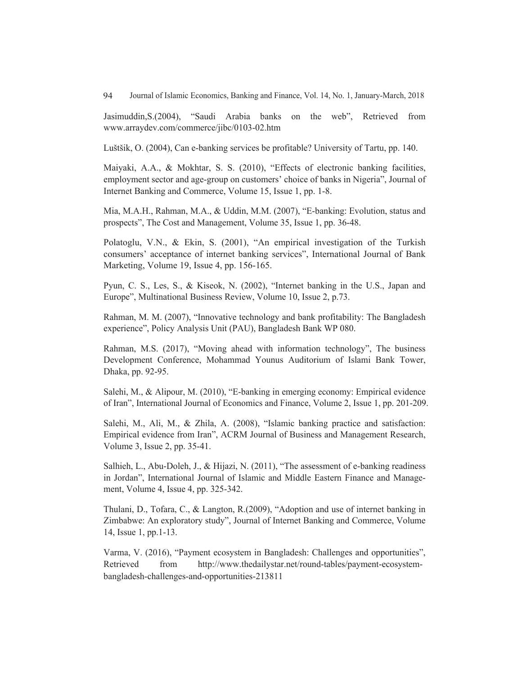Jasimuddin,S.(2004), "Saudi Arabia banks on the web", Retrieved from www.arraydev.com/commerce/jibc/0103-02.htm

Luštšik, O. (2004), Can e-banking services be profitable? University of Tartu, pp. 140.

Maiyaki, A.A., & Mokhtar, S. S. (2010), "Effects of electronic banking facilities, employment sector and age-group on customers' choice of banks in Nigeria", Journal of Internet Banking and Commerce, Volume 15, Issue 1, pp. 1-8.

Mia, M.A.H., Rahman, M.A., & Uddin, M.M. (2007), "E-banking: Evolution, status and prospects", The Cost and Management, Volume 35, Issue 1, pp. 36-48.

Polatoglu, V.N., & Ekin, S. (2001), "An empirical investigation of the Turkish consumers' acceptance of internet banking services", International Journal of Bank Marketing, Volume 19, Issue 4, pp. 156-165.

Pyun, C. S., Les, S., & Kiseok, N. (2002), "Internet banking in the U.S., Japan and Europe", Multinational Business Review, Volume 10, Issue 2, p.73.

Rahman, M. M. (2007), "Innovative technology and bank profitability: The Bangladesh experience", Policy Analysis Unit (PAU), Bangladesh Bank WP 080.

Rahman, M.S. (2017), "Moving ahead with information technology", The business Development Conference, Mohammad Younus Auditorium of Islami Bank Tower, Dhaka, pp. 92-95.

Salehi, M., & Alipour, M. (2010), "E-banking in emerging economy: Empirical evidence of Iran", International Journal of Economics and Finance, Volume 2, Issue 1, pp. 201-209.

Salehi, M., Ali, M., & Zhila, A. (2008), "Islamic banking practice and satisfaction: Empirical evidence from Iran", ACRM Journal of Business and Management Research, Volume 3, Issue 2, pp. 35-41.

Salhieh, L., Abu-Doleh, J., & Hijazi, N. (2011), "The assessment of e-banking readiness in Jordan", International Journal of Islamic and Middle Eastern Finance and Management, Volume 4, Issue 4, pp. 325-342.

Thulani, D., Tofara, C., & Langton, R.(2009), "Adoption and use of internet banking in Zimbabwe: An exploratory study", Journal of Internet Banking and Commerce, Volume 14, Issue 1, pp.1-13.

Varma, V. (2016), "Payment ecosystem in Bangladesh: Challenges and opportunities", Retrieved from http://www.thedailystar.net/round-tables/payment-ecosystembangladesh-challenges-and-opportunities-213811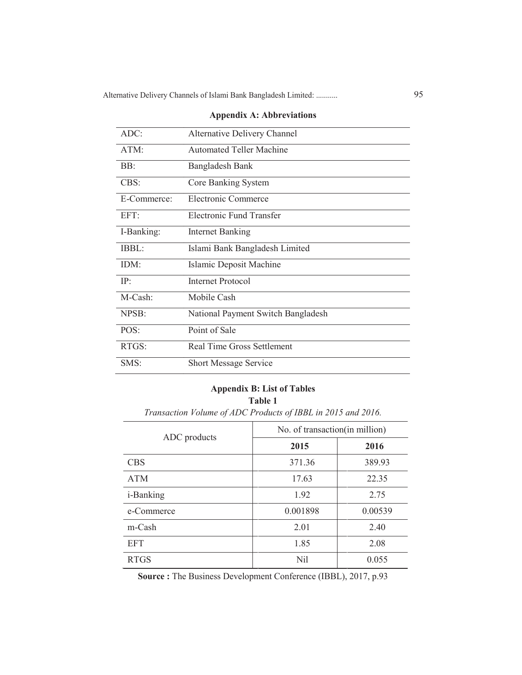| ADC:        | <b>Alternative Delivery Channel</b> |
|-------------|-------------------------------------|
| ATM:        | <b>Automated Teller Machine</b>     |
| BB:         | Bangladesh Bank                     |
| CBS:        | Core Banking System                 |
| E-Commerce: | Electronic Commerce                 |
| EFT:        | Electronic Fund Transfer            |
| I-Banking:  | <b>Internet Banking</b>             |
| IBBL:       | Islami Bank Bangladesh Limited      |
| IDM:        | Islamic Deposit Machine             |
| IP:         | Internet Protocol                   |
| M-Cash:     | Mobile Cash                         |
| NPSB:       | National Payment Switch Bangladesh  |
| POS:        | Point of Sale                       |
| RTGS:       | Real Time Gross Settlement          |
| SMS:        | <b>Short Message Service</b>        |

# **Appendix A: Abbreviations**

# **Appendix B: List of Tables Table 1**

|                   | No. of transaction (in million) |         |  |  |  |
|-------------------|---------------------------------|---------|--|--|--|
| ADC products      | 2015                            | 2016    |  |  |  |
| <b>CBS</b>        | 371.36                          | 389.93  |  |  |  |
| <b>ATM</b>        | 17.63                           | 22.35   |  |  |  |
| <i>i</i> -Banking | 1.92                            | 2.75    |  |  |  |
| e-Commerce        | 0.001898                        | 0.00539 |  |  |  |
| m-Cash            | 2.01                            | 2.40    |  |  |  |
| <b>EFT</b>        | 1.85                            | 2.08    |  |  |  |
| <b>RTGS</b>       | Nil                             | 0.055   |  |  |  |

**Source :** The Business Development Conference (IBBL), 2017, p.93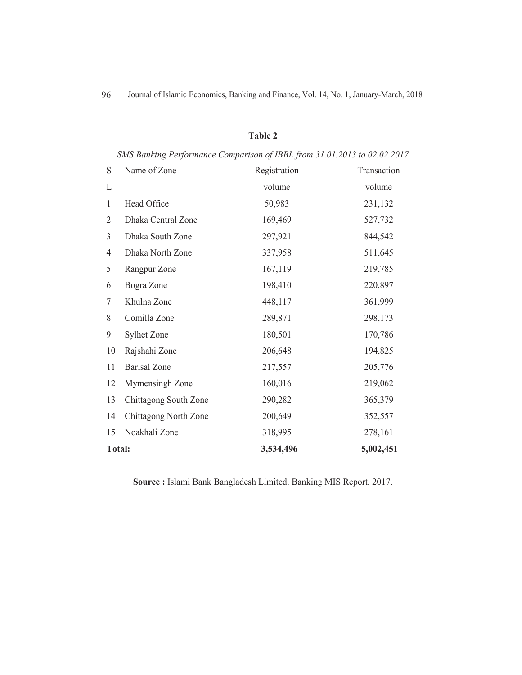# **Table 2**

| SMS Banking Performance Comparison of IBBL from 31.01.2013 to 02.02.2017 |  |  |  |
|--------------------------------------------------------------------------|--|--|--|
|                                                                          |  |  |  |

| S              | Name of Zone          | Registration | Transaction |
|----------------|-----------------------|--------------|-------------|
| L              |                       | volume       | volume      |
| $\mathbf{1}$   | Head Office           | 50,983       | 231,132     |
| $\overline{2}$ | Dhaka Central Zone    | 169,469      | 527,732     |
| 3              | Dhaka South Zone      | 297,921      | 844,542     |
| 4              | Dhaka North Zone      | 337,958      | 511,645     |
| 5              | Rangpur Zone          | 167,119      | 219,785     |
| 6              | Bogra Zone            | 198,410      | 220,897     |
| 7              | Khulna Zone           | 448,117      | 361,999     |
| 8              | Comilla Zone          | 289,871      | 298,173     |
| 9              | Sylhet Zone           | 180,501      | 170,786     |
| 10             | Rajshahi Zone         | 206,648      | 194,825     |
| 11             | <b>Barisal Zone</b>   | 217,557      | 205,776     |
| 12             | Mymensingh Zone       | 160,016      | 219,062     |
| 13             | Chittagong South Zone | 290,282      | 365,379     |
| 14             | Chittagong North Zone | 200,649      | 352,557     |
| 15             | Noakhali Zone         | 318,995      | 278,161     |
| <b>Total:</b>  |                       | 3,534,496    | 5,002,451   |

**Source :** Islami Bank Bangladesh Limited. Banking MIS Report, 2017.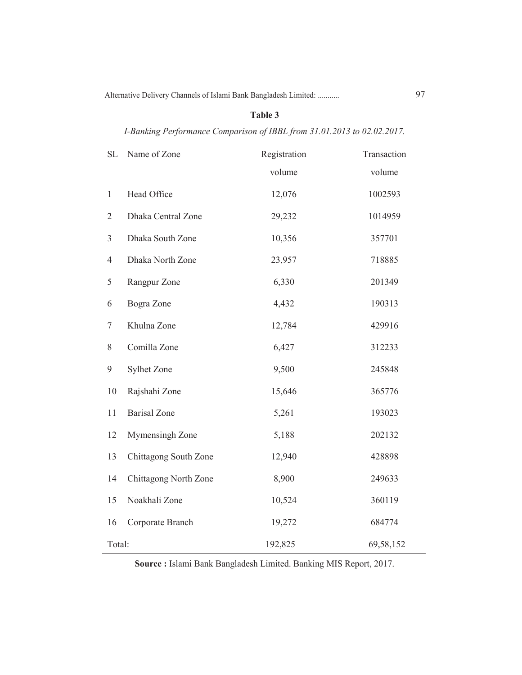# **Table 3**

| SL             | Name of Zone          | Registration | Transaction |  |
|----------------|-----------------------|--------------|-------------|--|
|                |                       | volume       | volume      |  |
| $\,1$          | Head Office           | 12,076       | 1002593     |  |
| $\mathbf{2}$   | Dhaka Central Zone    | 29,232       | 1014959     |  |
| $\mathfrak{Z}$ | Dhaka South Zone      | 10,356       | 357701      |  |
| $\overline{4}$ | Dhaka North Zone      | 23,957       | 718885      |  |
| 5              | Rangpur Zone          | 6,330        | 201349      |  |
| 6              | Bogra Zone            | 4,432        | 190313      |  |
| 7              | Khulna Zone           | 12,784       | 429916      |  |
| $8\,$          | Comilla Zone          | 6,427        | 312233      |  |
| 9              | Sylhet Zone           | 9,500        | 245848      |  |
| 10             | Rajshahi Zone         | 15,646       | 365776      |  |
| 11             | <b>Barisal</b> Zone   | 5,261        | 193023      |  |
| 12             | Mymensingh Zone       | 5,188        | 202132      |  |
| 13             | Chittagong South Zone | 12,940       | 428898      |  |
| 14             | Chittagong North Zone | 8,900        | 249633      |  |
| 15             | Noakhali Zone         | 10,524       | 360119      |  |
| 16             | Corporate Branch      | 19,272       | 684774      |  |
| Total:         |                       | 192,825      | 69,58,152   |  |

*I-Banking Performance Comparison of IBBL from 31.01.2013 to 02.02.2017.*

**Source :** Islami Bank Bangladesh Limited. Banking MIS Report, 2017.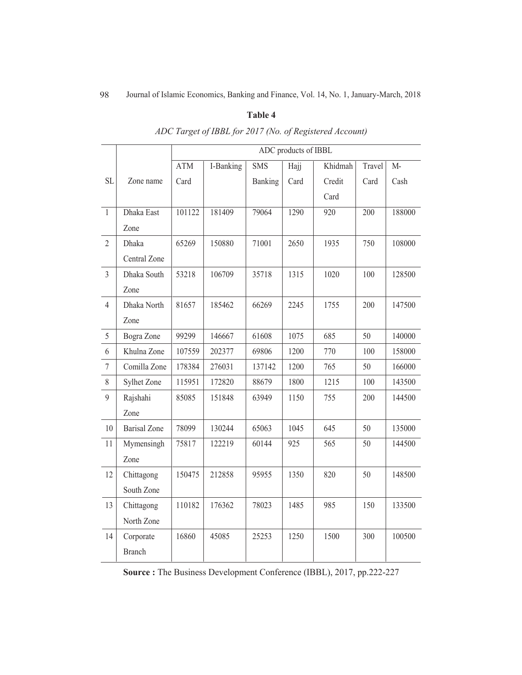# **Table 4**

|                  |                     | ADC products of IBBL |           |            |      |         |        |        |
|------------------|---------------------|----------------------|-----------|------------|------|---------|--------|--------|
|                  |                     | <b>ATM</b>           | I-Banking | <b>SMS</b> | Hajj | Khidmah | Travel | $M-$   |
| <b>SL</b>        | Zone name           | Card                 |           | Banking    | Card | Credit  | Card   | Cash   |
|                  |                     |                      |           |            |      | Card    |        |        |
| $\mathbf{1}$     | Dhaka East          | 101122               | 181409    | 79064      | 1290 | 920     | 200    | 188000 |
|                  | Zone                |                      |           |            |      |         |        |        |
| $\overline{2}$   | Dhaka               | 65269                | 150880    | 71001      | 2650 | 1935    | 750    | 108000 |
|                  | Central Zone        |                      |           |            |      |         |        |        |
| $\overline{3}$   | Dhaka South         | 53218                | 106709    | 35718      | 1315 | 1020    | 100    | 128500 |
|                  | Zone                |                      |           |            |      |         |        |        |
| $\overline{4}$   | Dhaka North         | 81657                | 185462    | 66269      | 2245 | 1755    | 200    | 147500 |
|                  | Zone                |                      |           |            |      |         |        |        |
| $\sqrt{5}$       | Bogra Zone          | 99299                | 146667    | 61608      | 1075 | 685     | 50     | 140000 |
| 6                | Khulna Zone         | 107559               | 202377    | 69806      | 1200 | 770     | 100    | 158000 |
| $\boldsymbol{7}$ | Comilla Zone        | 178384               | 276031    | 137142     | 1200 | 765     | 50     | 166000 |
| 8                | Sylhet Zone         | 115951               | 172820    | 88679      | 1800 | 1215    | 100    | 143500 |
| 9                | Rajshahi            | 85085                | 151848    | 63949      | 1150 | 755     | 200    | 144500 |
|                  | Zone                |                      |           |            |      |         |        |        |
| 10               | <b>Barisal</b> Zone | 78099                | 130244    | 65063      | 1045 | 645     | 50     | 135000 |
| 11               | Mymensingh          | 75817                | 122219    | 60144      | 925  | 565     | 50     | 144500 |
|                  | Zone                |                      |           |            |      |         |        |        |
| 12               | Chittagong          | 150475               | 212858    | 95955      | 1350 | 820     | 50     | 148500 |
|                  | South Zone          |                      |           |            |      |         |        |        |
| 13               | Chittagong          | 110182               | 176362    | 78023      | 1485 | 985     | 150    | 133500 |
|                  | North Zone          |                      |           |            |      |         |        |        |
| 14               | Corporate           | 16860                | 45085     | 25253      | 1250 | 1500    | 300    | 100500 |
|                  | <b>Branch</b>       |                      |           |            |      |         |        |        |

# *ADC Target of IBBL for 2017 (No. of Registered Account)*

**Source :** The Business Development Conference (IBBL), 2017, pp.222-227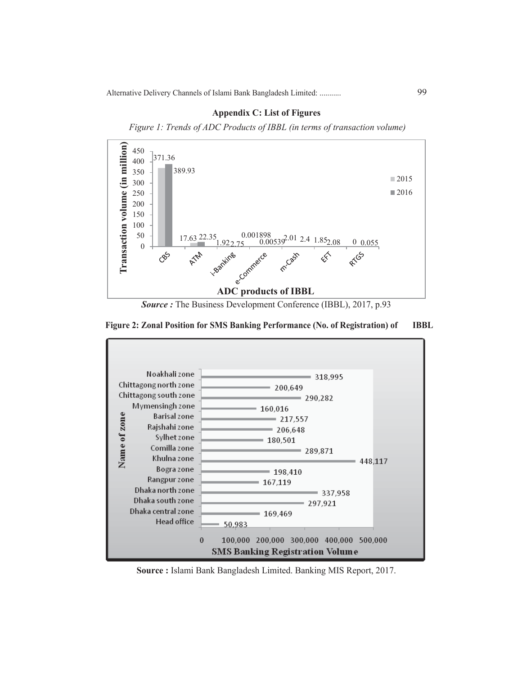

# **Appendix C: List of Figures**

 *Figure 1: Trends of ADC Products of IBBL (in terms of transaction volume)*

*Source :* The Business Development Conference (IBBL), 2017, p.93

# **Figure 2: Zonal Position for SMS Banking Performance (No. of Registration) of IBBL**



**Source :** Islami Bank Bangladesh Limited. Banking MIS Report, 2017.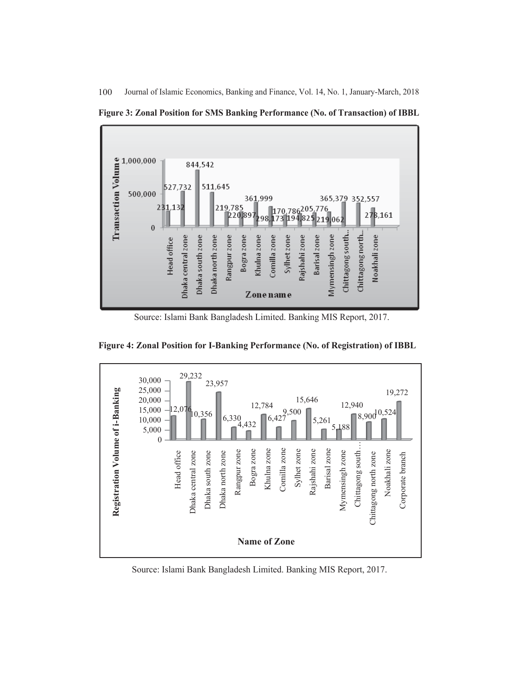



Source: Islami Bank Bangladesh Limited. Banking MIS Report, 2017.



**Figure 4: Zonal Position for I-Banking Performance (No. of Registration) of IBBL**

Source: Islami Bank Bangladesh Limited. Banking MIS Report, 2017.